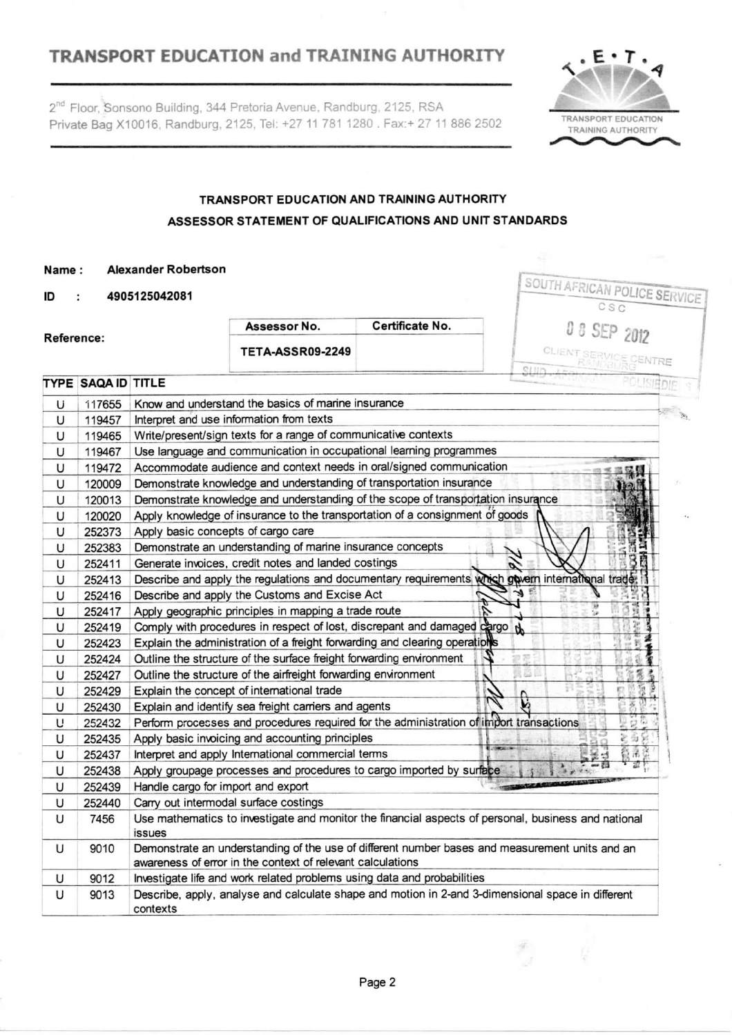# **TRANSPORT EDUCATION and TRAINING AUTHORITY** T.

2<sup>nd</sup> Floor, Sonsono Building, 344 Pretoria Avenue, Randburg, 2125, RSA Private Bag X10016, Randburg, 2125. Tel: +27 11 781 1280 . Fax:+ 27 11 886 2502



SOUTH AFRICAN POLICE SERVICE

**CLIENT SERVICE CENTRE** 

### **TRANSPORT EDUCATION AND TRAINING AUTHORITY ASSESSOR STATEMENT OF QUALIFICATIONS AND UNIT STANDARDS**

#### **Name: Alexander Robertson**

**ID 4905125042081**

|                         |                 | U J |  |
|-------------------------|-----------------|-----|--|
| Assessor No.            | Certificate No. | u   |  |
| <b>TETA-ASSR09-2249</b> |                 |     |  |
|                         |                 |     |  |

#### TYPE SAQAID TITLE

Reference:

|   | <b>TYPE SAQA ID TITLE</b> | 39 ne                                                                                               |  |
|---|---------------------------|-----------------------------------------------------------------------------------------------------|--|
| Ü | 117655                    | Know and understand the basics of marine insurance                                                  |  |
| U | 119457                    | Interpret and use information from texts                                                            |  |
| U | 119465                    | Write/present/sign texts for a range of communicative contexts                                      |  |
| U | 119467                    | Use language and communication in occupational learning programmes                                  |  |
| U | 119472                    | Accommodate audience and context needs in oral/signed communication                                 |  |
| U | 120009                    | Demonstrate knowledge and understanding of transportation insurance                                 |  |
| U | 120013                    | Demonstrate knowledge and understanding of the scope of transportation insurance                    |  |
| U | 120020                    | Apply knowledge of insurance to the transportation of a consignment of goods                        |  |
| U | 252373                    | Apply basic concepts of cargo care                                                                  |  |
| U | 252383                    | Demonstrate an understanding of marine insurance concepts                                           |  |
| U | 252411                    | Generate invoices, credit notes and landed costings                                                 |  |
| U | 252413                    | Describe and apply the regulations and documentary requirements which govern international trade:   |  |
| U | 252416                    | Describe and apply the Customs and Excise Act                                                       |  |
| U | 252417                    | Apply geographic principles in mapping a trade route                                                |  |
| U | 252419                    | Comply with procedures in respect of lost, discrepant and damaged cargo the                         |  |
| U | 252423                    | Explain the administration of a freight forwarding and clearing operations                          |  |
| U | 252424                    | Outline the structure of the surface freight forwarding environment                                 |  |
| U | 252427                    | Outline the structure of the airfreight forwarding environment                                      |  |
| U | 252429                    | Explain the concept of international trade                                                          |  |
| U | 252430                    | Explain and identify sea freight carriers and agents                                                |  |
| U | 252432                    | Perform processes and procedures required for the administration of import transactions             |  |
| U | 252435                    | Apply basic invoicing and accounting principles                                                     |  |
| U | 252437                    | <b>Commenced</b><br>Interpret and apply International commercial terms                              |  |
| U | 252438                    | Apply groupage processes and procedures to cargo imported by surface                                |  |
| U | 252439                    | <b>CASIMASSINESSEN</b><br>Handle cargo for import and export                                        |  |
| U | 252440                    | Carry out intermodal surface costings                                                               |  |
| U | 7456                      | Use mathematics to investigate and monitor the financial aspects of personal, business and national |  |
|   |                           | <b>issues</b>                                                                                       |  |
| U | 9010                      | Demonstrate an understanding of the use of different number bases and measurement units and an      |  |
|   |                           | awareness of error in the context of relevant calculations                                          |  |
| U | 9012                      | Investigate life and work related problems using data and probabilities                             |  |
| U | 9013                      | Describe, apply, analyse and calculate shape and motion in 2-and 3-dimensional space in different   |  |
|   |                           | contexts                                                                                            |  |

F,